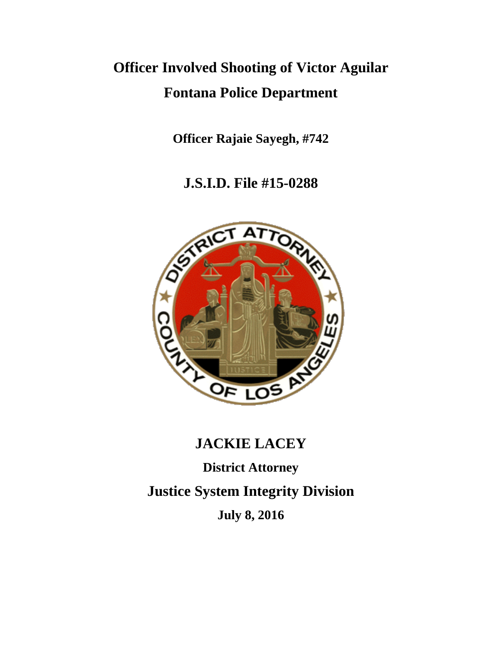# **Officer Involved Shooting of Victor Aguilar Fontana Police Department**

**Officer Rajaie Sayegh, #742**

**J.S.I.D. File #15-0288**



# **JACKIE LACEY**

**District Attorney Justice System Integrity Division July 8, 2016**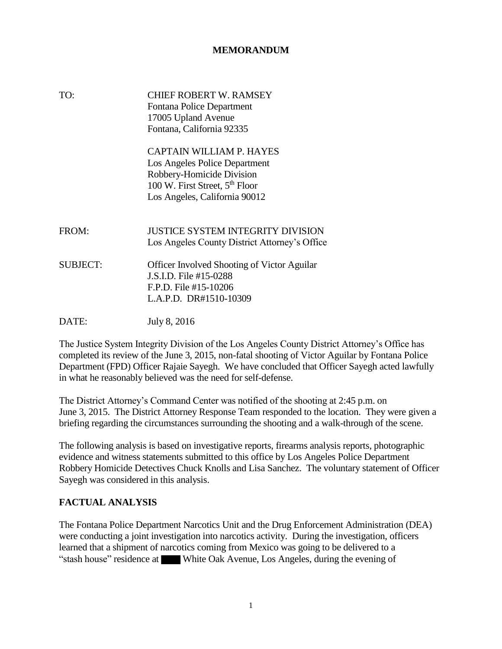#### **MEMORANDUM**

| TO:             | <b>CHIEF ROBERT W. RAMSEY</b><br>Fontana Police Department<br>17005 Upland Avenue<br>Fontana, California 92335                                                        |
|-----------------|-----------------------------------------------------------------------------------------------------------------------------------------------------------------------|
|                 | CAPTAIN WILLIAM P. HAYES<br>Los Angeles Police Department<br>Robbery-Homicide Division<br>100 W. First Street, 5 <sup>th</sup> Floor<br>Los Angeles, California 90012 |
| FROM:           | <b>JUSTICE SYSTEM INTEGRITY DIVISION</b><br>Los Angeles County District Attorney's Office                                                                             |
| <b>SUBJECT:</b> | <b>Officer Involved Shooting of Victor Aguilar</b><br>J.S.I.D. File #15-0288<br>F.P.D. File #15-10206<br>L.A.P.D. DR#1510-10309                                       |
| DATE:           | July 8, 2016                                                                                                                                                          |

The Justice System Integrity Division of the Los Angeles County District Attorney's Office has completed its review of the June 3, 2015, non-fatal shooting of Victor Aguilar by Fontana Police Department (FPD) Officer Rajaie Sayegh. We have concluded that Officer Sayegh acted lawfully in what he reasonably believed was the need for self-defense.

The District Attorney's Command Center was notified of the shooting at 2:45 p.m. on June 3, 2015. The District Attorney Response Team responded to the location. They were given a briefing regarding the circumstances surrounding the shooting and a walk-through of the scene.

The following analysis is based on investigative reports, firearms analysis reports, photographic evidence and witness statements submitted to this office by Los Angeles Police Department Robbery Homicide Detectives Chuck Knolls and Lisa Sanchez. The voluntary statement of Officer Sayegh was considered in this analysis.

#### **FACTUAL ANALYSIS**

The Fontana Police Department Narcotics Unit and the Drug Enforcement Administration (DEA) were conducting a joint investigation into narcotics activity. During the investigation, officers learned that a shipment of narcotics coming from Mexico was going to be delivered to a "stash house" residence at White Oak Avenue, Los Angeles, during the evening of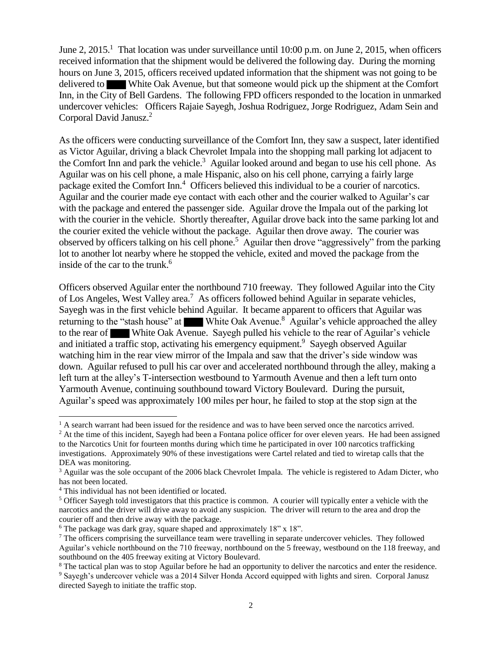June 2, 2015.<sup>1</sup> That location was under surveillance until 10:00 p.m. on June 2, 2015, when officers received information that the shipment would be delivered the following day. During the morning hours on June 3, 2015, officers received updated information that the shipment was not going to be delivered to White Oak Avenue, but that someone would pick up the shipment at the Comfort Inn, in the City of Bell Gardens. The following FPD officers responded to the location in unmarked undercover vehicles: Officers Rajaie Sayegh, Joshua Rodriguez, Jorge Rodriguez, Adam Sein and Corporal David Janusz.<sup>2</sup>

As the officers were conducting surveillance of the Comfort Inn, they saw a suspect, later identified as Victor Aguilar, driving a black Chevrolet Impala into the shopping mall parking lot adjacent to the Comfort Inn and park the vehicle.<sup>3</sup> Aguilar looked around and began to use his cell phone. As Aguilar was on his cell phone, a male Hispanic, also on his cell phone, carrying a fairly large package exited the Comfort Inn.<sup>4</sup> Officers believed this individual to be a courier of narcotics. Aguilar and the courier made eye contact with each other and the courier walked to Aguilar's car with the package and entered the passenger side. Aguilar drove the Impala out of the parking lot with the courier in the vehicle. Shortly thereafter, Aguilar drove back into the same parking lot and the courier exited the vehicle without the package. Aguilar then drove away. The courier was observed by officers talking on his cell phone.<sup>5</sup> Aguilar then drove "aggressively" from the parking lot to another lot nearby where he stopped the vehicle, exited and moved the package from the inside of the car to the trunk.<sup>6</sup>

Officers observed Aguilar enter the northbound 710 freeway. They followed Aguilar into the City of Los Angeles, West Valley area.<sup>7</sup> As officers followed behind Aguilar in separate vehicles, Sayegh was in the first vehicle behind Aguilar. It became apparent to officers that Aguilar was returning to the "stash house" at White Oak Avenue.<sup>8</sup> Aguilar's vehicle approached the alley to the rear of White Oak Avenue. Sayegh pulled his vehicle to the rear of Aguilar's vehicle and initiated a traffic stop, activating his emergency equipment.<sup>9</sup> Sayegh observed Aguilar watching him in the rear view mirror of the Impala and saw that the driver's side window was down. Aguilar refused to pull his car over and accelerated northbound through the alley, making a left turn at the alley's T-intersection westbound to Yarmouth Avenue and then a left turn onto Yarmouth Avenue, continuing southbound toward Victory Boulevard. During the pursuit, Aguilar's speed was approximately 100 miles per hour, he failed to stop at the stop sign at the

<sup>&</sup>lt;sup>1</sup> A search warrant had been issued for the residence and was to have been served once the narcotics arrived.

<sup>&</sup>lt;sup>2</sup> At the time of this incident, Sayegh had been a Fontana police officer for over eleven years. He had been assigned to the Narcotics Unit for fourteen months during which time he participated in over 100 narcotics trafficking investigations. Approximately 90% of these investigations were Cartel related and tied to wiretap calls that the DEA was monitoring.

<sup>&</sup>lt;sup>3</sup> Aguilar was the sole occupant of the 2006 black Chevrolet Impala. The vehicle is registered to Adam Dicter, who has not been located.

<sup>4</sup> This individual has not been identified or located.

<sup>&</sup>lt;sup>5</sup> Officer Sayegh told investigators that this practice is common. A courier will typically enter a vehicle with the narcotics and the driver will drive away to avoid any suspicion. The driver will return to the area and drop the courier off and then drive away with the package.

<sup>&</sup>lt;sup>6</sup> The package was dark gray, square shaped and approximately 18" x 18".

 $<sup>7</sup>$  The officers comprising the surveillance team were travelling in separate undercover vehicles. They followed</sup> Aguilar's vehicle northbound on the 710 freeway, northbound on the 5 freeway, westbound on the 118 freeway, and southbound on the 405 freeway exiting at Victory Boulevard.

<sup>&</sup>lt;sup>8</sup> The tactical plan was to stop Aguilar before he had an opportunity to deliver the narcotics and enter the residence.

<sup>9</sup> Sayegh's undercover vehicle was a 2014 Silver Honda Accord equipped with lights and siren. Corporal Janusz directed Sayegh to initiate the traffic stop.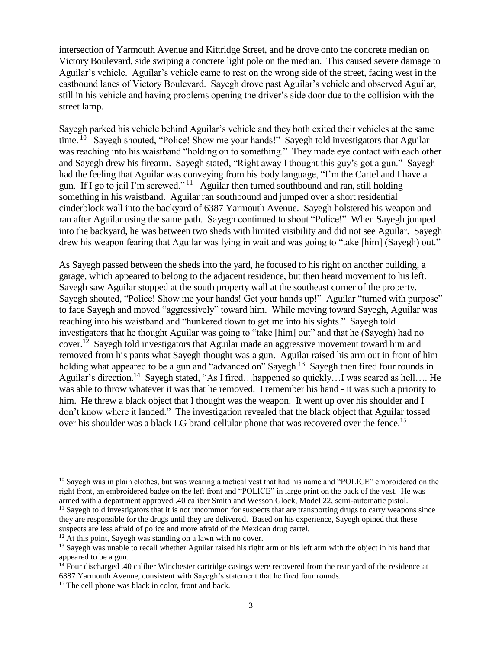intersection of Yarmouth Avenue and Kittridge Street, and he drove onto the concrete median on Victory Boulevard, side swiping a concrete light pole on the median. This caused severe damage to Aguilar's vehicle. Aguilar's vehicle came to rest on the wrong side of the street, facing west in the eastbound lanes of Victory Boulevard. Sayegh drove past Aguilar's vehicle and observed Aguilar, still in his vehicle and having problems opening the driver's side door due to the collision with the street lamp.

Sayegh parked his vehicle behind Aguilar's vehicle and they both exited their vehicles at the same time.<sup>10</sup> Sayegh shouted, "Police! Show me your hands!" Sayegh told investigators that Aguilar was reaching into his waistband "holding on to something." They made eye contact with each other and Sayegh drew his firearm. Sayegh stated, "Right away I thought this guy's got a gun." Sayegh had the feeling that Aguilar was conveying from his body language, "I'm the Cartel and I have a gun. If I go to jail I'm screwed."<sup>11</sup> Aguilar then turned southbound and ran, still holding something in his waistband. Aguilar ran southbound and jumped over a short residential cinderblock wall into the backyard of 6387 Yarmouth Avenue. Sayegh holstered his weapon and ran after Aguilar using the same path. Sayegh continued to shout "Police!" When Sayegh jumped into the backyard, he was between two sheds with limited visibility and did not see Aguilar. Sayegh drew his weapon fearing that Aguilar was lying in wait and was going to "take [him] (Sayegh) out."

As Sayegh passed between the sheds into the yard, he focused to his right on another building, a garage, which appeared to belong to the adjacent residence, but then heard movement to his left. Sayegh saw Aguilar stopped at the south property wall at the southeast corner of the property. Sayegh shouted, "Police! Show me your hands! Get your hands up!" Aguilar "turned with purpose" to face Sayegh and moved "aggressively" toward him. While moving toward Sayegh, Aguilar was reaching into his waistband and "hunkered down to get me into his sights." Sayegh told investigators that he thought Aguilar was going to "take [him] out" and that he (Sayegh) had no cover.<sup>12</sup> Sayegh told investigators that Aguilar made an aggressive movement toward him and removed from his pants what Sayegh thought was a gun. Aguilar raised his arm out in front of him holding what appeared to be a gun and "advanced on" Sayegh.<sup>13</sup> Sayegh then fired four rounds in Aguilar's direction.<sup>14</sup> Sayegh stated, "As I fired...happened so quickly...I was scared as hell.... He was able to throw whatever it was that he removed. I remember his hand - it was such a priority to him. He threw a black object that I thought was the weapon. It went up over his shoulder and I don't know where it landed." The investigation revealed that the black object that Aguilar tossed over his shoulder was a black LG brand cellular phone that was recovered over the fence.<sup>15</sup>

<sup>&</sup>lt;sup>10</sup> Sayegh was in plain clothes, but was wearing a tactical vest that had his name and "POLICE" embroidered on the right front, an embroidered badge on the left front and "POLICE" in large print on the back of the vest. He was armed with a department approved .40 caliber Smith and Wesson Glock, Model 22, semi-automatic pistol.

<sup>&</sup>lt;sup>11</sup> Sayegh told investigators that it is not uncommon for suspects that are transporting drugs to carry weapons since they are responsible for the drugs until they are delivered. Based on his experience, Sayegh opined that these suspects are less afraid of police and more afraid of the Mexican drug cartel.

 $12$  At this point, Sayegh was standing on a lawn with no cover.

<sup>&</sup>lt;sup>13</sup> Sayegh was unable to recall whether Aguilar raised his right arm or his left arm with the object in his hand that appeared to be a gun.

<sup>&</sup>lt;sup>14</sup> Four discharged .40 caliber Winchester cartridge casings were recovered from the rear yard of the residence at 6387 Yarmouth Avenue, consistent with Sayegh's statement that he fired four rounds.

<sup>&</sup>lt;sup>15</sup> The cell phone was black in color, front and back.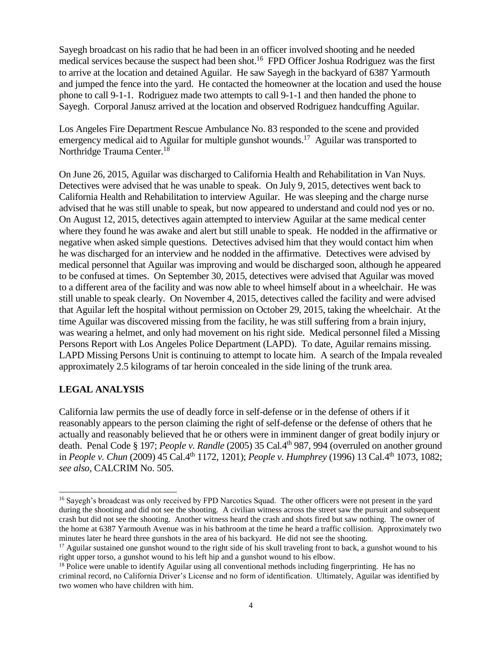Sayegh broadcast on his radio that he had been in an officer involved shooting and he needed medical services because the suspect had been shot.<sup>16</sup> FPD Officer Joshua Rodriguez was the first to arrive at the location and detained Aguilar. He saw Sayegh in the backyard of 6387 Yarmouth and jumped the fence into the yard. He contacted the homeowner at the location and used the house phone to call 9-1-1. Rodriguez made two attempts to call 9-1-1 and then handed the phone to Sayegh. Corporal Janusz arrived at the location and observed Rodriguez handcuffing Aguilar.

Los Angeles Fire Department Rescue Ambulance No. 83 responded to the scene and provided emergency medical aid to Aguilar for multiple gunshot wounds.<sup>17</sup> Aguilar was transported to Northridge Trauma Center.<sup>18</sup>

On June 26, 2015, Aguilar was discharged to California Health and Rehabilitation in Van Nuys. Detectives were advised that he was unable to speak. On July 9, 2015, detectives went back to California Health and Rehabilitation to interview Aguilar. He was sleeping and the charge nurse advised that he was still unable to speak, but now appeared to understand and could nod yes or no. On August 12, 2015, detectives again attempted to interview Aguilar at the same medical center where they found he was awake and alert but still unable to speak. He nodded in the affirmative or negative when asked simple questions. Detectives advised him that they would contact him when he was discharged for an interview and he nodded in the affirmative. Detectives were advised by medical personnel that Aguilar was improving and would be discharged soon, although he appeared to be confused at times. On September 30, 2015, detectives were advised that Aguilar was moved to a different area of the facility and was now able to wheel himself about in a wheelchair. He was still unable to speak clearly. On November 4, 2015, detectives called the facility and were advised that Aguilar left the hospital without permission on October 29, 2015, taking the wheelchair. At the time Aguilar was discovered missing from the facility, he was still suffering from a brain injury, was wearing a helmet, and only had movement on his right side. Medical personnel filed a Missing Persons Report with Los Angeles Police Department (LAPD). To date, Aguilar remains missing. LAPD Missing Persons Unit is continuing to attempt to locate him. A search of the Impala revealed approximately 2.5 kilograms of tar heroin concealed in the side lining of the trunk area.

## **LEGAL ANALYSIS**

California law permits the use of deadly force in self-defense or in the defense of others if it reasonably appears to the person claiming the right of self-defense or the defense of others that he actually and reasonably believed that he or others were in imminent danger of great bodily injury or death. Penal Code § 197; *People v. Randle* (2005) 35 Cal.4th 987, 994 (overruled on another ground in *People v. Chun* (2009) 45 Cal.4th 1172, 1201); *People v. Humphrey* (1996) 13 Cal.4th 1073, 1082; *see also,* CALCRIM No. 505.

<sup>&</sup>lt;sup>16</sup> Sayegh's broadcast was only received by FPD Narcotics Squad. The other officers were not present in the yard during the shooting and did not see the shooting. A civilian witness across the street saw the pursuit and subsequent crash but did not see the shooting. Another witness heard the crash and shots fired but saw nothing. The owner of the home at 6387 Yarmouth Avenue was in his bathroom at the time he heard a traffic collision. Approximately two minutes later he heard three gunshots in the area of his backyard. He did not see the shooting.

 $17$  Aguilar sustained one gunshot wound to the right side of his skull traveling front to back, a gunshot wound to his right upper torso, a gunshot wound to his left hip and a gunshot wound to his elbow.

<sup>&</sup>lt;sup>18</sup> Police were unable to identify Aguilar using all conventional methods including fingerprinting. He has no criminal record, no California Driver's License and no form of identification. Ultimately, Aguilar was identified by two women who have children with him.